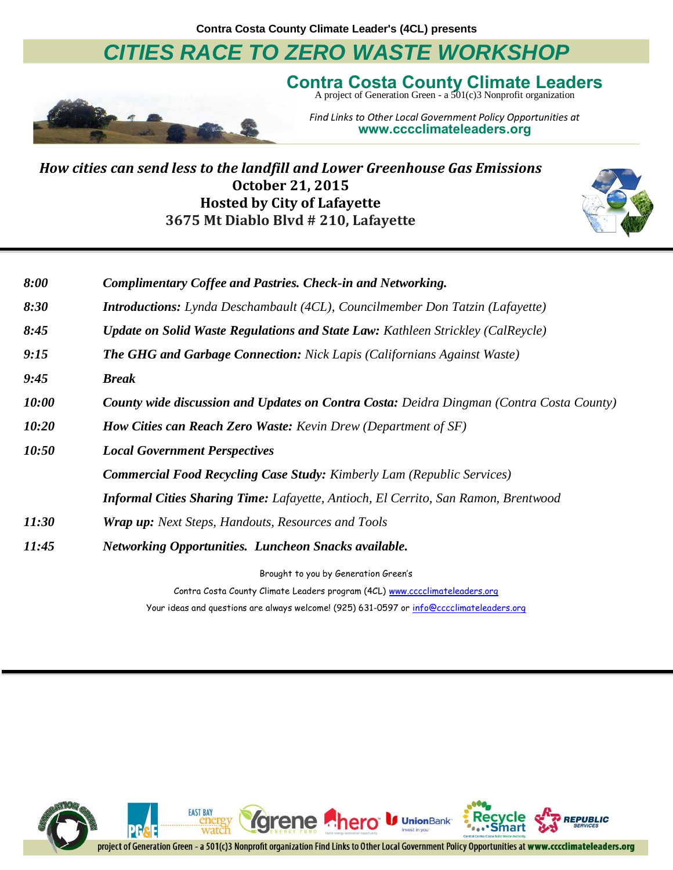**Contra Costa County Climate Leader's (4CL) presents**

### *CITIES RACE TO ZERO WASTE WORKSHOP*



Contra Costa County Climate Leaders<br>A project of Generation Green - a 501(c)3 Nonprofit organization

*Find Links to Other Local Government Policy Opportunities at* **www.cccclimateleaders.org**

*How cities can send less to the landfill and Lower Greenhouse Gas Emissions* **October 21, 2015 Hosted by City of Lafayette 3675 Mt Diablo Blvd # 210, Lafayette**



| 8:00  | <b>Complimentary Coffee and Pastries. Check-in and Networking.</b>                              |
|-------|-------------------------------------------------------------------------------------------------|
| 8:30  | <b>Introductions:</b> Lynda Deschambault (4CL), Councilmember Don Tatzin (Lafayette)            |
| 8:45  | <b>Update on Solid Waste Regulations and State Law: Kathleen Strickley (CalReycle)</b>          |
| 9:15  | <b>The GHG and Garbage Connection:</b> Nick Lapis (Californians Against Waste)                  |
| 9:45  | <b>Break</b>                                                                                    |
| 10:00 | <b>County wide discussion and Updates on Contra Costa:</b> Deidra Dingman (Contra Costa County) |
| 10:20 | <b>How Cities can Reach Zero Waste:</b> Kevin Drew (Department of SF)                           |
| 10:50 | <b>Local Government Perspectives</b>                                                            |
|       | <b>Commercial Food Recycling Case Study:</b> Kimberly Lam (Republic Services)                   |
|       | <b>Informal Cities Sharing Time:</b> Lafayette, Antioch, El Cerrito, San Ramon, Brentwood       |
| 11:30 | <b>Wrap up:</b> Next Steps, Handouts, Resources and Tools                                       |
| 11:45 | <b>Networking Opportunities. Luncheon Snacks available.</b>                                     |
|       | Brought to you by Generation Green's                                                            |

Contra Costa County Climate Leaders program (4CL) [www.cccclimateleaders.org](http://www.cccclimateleaders.org/) Your ideas and questions are always welcome! (925) 631-0597 or [info@cccclimateleaders.org](mailto:info@cccclimateleaders.org)

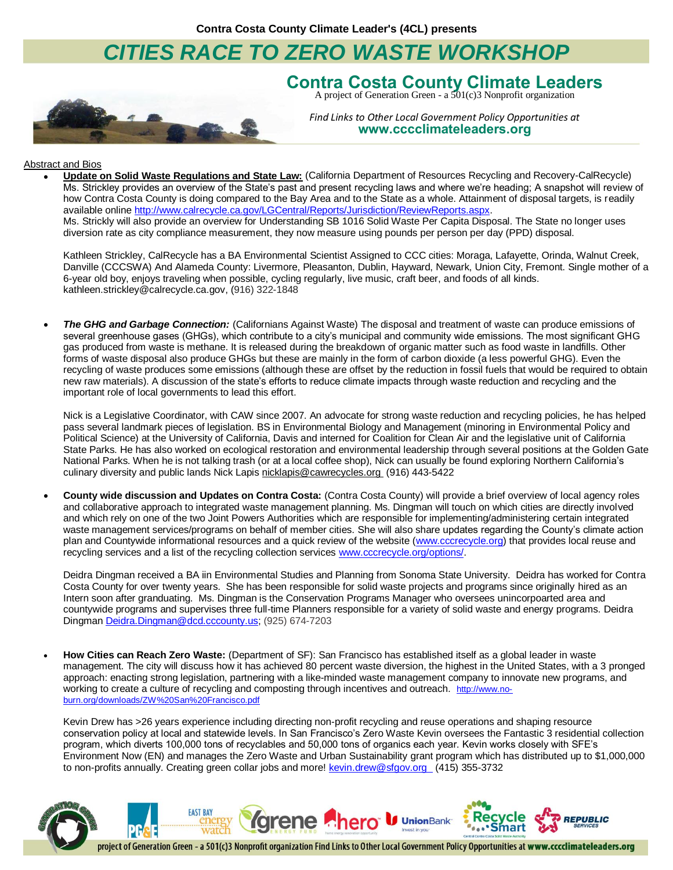### *CITIES RACE TO ZERO WASTE WORKSHOP*



# Contra Costa County Climate Leaders<br>A project of Generation Green - a 501(c)3 Nonprofit organization

*Find Links to Other Local Government Policy Opportunities at* **www.cccclimateleaders.org**

#### Abstract and Bios

 **Update on Solid Waste Regulations and State Law:** (California Department of Resources Recycling and Recovery-CalRecycle) Ms. Strickley provides an overview of the State's past and present recycling laws and where we're heading; A snapshot will review of how Contra Costa County is doing compared to the Bay Area and to the State as a whole. Attainment of disposal targets, is readily available onlin[e http://www.calrecycle.ca.gov/LGCentral/Reports/Jurisdiction/ReviewReports.aspx.](http://www.calrecycle.ca.gov/LGCentral/Reports/Jurisdiction/ReviewReports.aspx) Ms. Strickly will also provide an overview fo[r Understanding SB 1016 Solid](https://www.google.com/url?q=http://www.calrecycle.ca.gov/LGCentral/GoalMeasure/Tools/Presentation.ppt&sa=U&ved=0CBAQFjAGahUKEwjihaHh_8rHAhULDZIKHRGdAbg&client=internal-uds-cse&usg=AFQjCNGebBu_HfzGuOA-G-z3fV8fqW2buA) Waste Per Capita Disposal. The State no longer uses diversion rate as city compliance measurement, they now measure using pounds per person per day (PPD) disposal.

Kathleen Strickley, CalRecycle has a BA Environmental Scientist Assigned to CCC cities: Moraga, Lafayette, Orinda, Walnut Creek, Danville (CCCSWA) And Alameda County: Livermore, Pleasanton, Dublin, Hayward, Newark, Union City, Fremont. Single mother of a 6-year old boy, enjoys traveling when possible, cycling regularly, live music, craft beer, and foods of all kinds. [kathleen.strickley@calrecycle.ca.gov,](mailto:kathleen.strickley@calrecycle.ca.gov) (916) 322-1848

 *The GHG and Garbage Connection:* (Californians Against Waste) The disposal and treatment of waste can produce emissions of several greenhouse gases (GHGs), which contribute to a city's municipal and community wide emissions. The most significant GHG gas produced from waste is methane. It is released during the breakdown of organic matter such as food waste in landfills. Other forms of waste disposal also produce GHGs but these are mainly in the form of carbon dioxide (a less powerful GHG). Even the recycling of waste produces some emissions (although these are offset by the reduction in fossil fuels that would be required to obtain new raw materials). A discussion of the state's efforts to reduce climate impacts through waste reduction and recycling and the important role of local governments to lead this effort.

Nick is a Legislative Coordinator, with CAW since 2007. An advocate for strong waste reduction and recycling policies, he has helped pass several landmark pieces of legislation. BS in Environmental Biology and Management (minoring in Environmental Policy and Political Science) at the University of California, Davis and interned for Coalition for Clean Air and the legislative unit of California State Parks. He has also worked on ecological restoration and environmental leadership through several positions at the Golden Gate National Parks. When he is not talking trash (or at a local coffee shop), Nick can usually be found exploring Northern California's culinary diversity and public lands Nick Lapis [nicklapis@cawrecycles.org](mailto:nicklapis@cawrecycles.org) (916) 443-5422

 **County wide discussion and Updates on Contra Costa:** (Contra Costa County) will provide a brief overview of local agency roles and collaborative approach to integrated waste management planning. Ms. Dingman will touch on which cities are directly involved and which rely on one of the two Joint Powers Authorities which are responsible for implementing/administering certain integrated waste management services/programs on behalf of member cities. She will also share updates regarding the County's climate action plan and Countywide informational resources and a quick review of the website [\(www.cccrecycle.org\)](http://www.cccrecycle.org/) that provides local reuse and recycling services and a list of the recycling collection services [www.cccrecycle.org/options/.](http://www.cccrecycle.org/options/)

Deidra Dingman received a BA iin Environmental Studies and Planning from Sonoma State University. Deidra has worked for Contra Costa County for over twenty years. She has been responsible for solid waste projects and programs since originally hired as an Intern soon after granduating. Ms. Dingman is the Conservation Programs Manager who oversees unincorpoarted area and countywide programs and supervises three full-time Planners responsible for a variety of solid waste and energy programs. Deidra Dingman [Deidra.Dingman@dcd.cccounty.us;](mailto:Deidra.Dingman@dcd.cccounty.us) (925) 674-7203

 **How Cities can Reach Zero Waste:** (Department of SF): San Francisco has established itself as a global leader in waste management. The city will discuss how it has achieved 80 percent waste diversion, the highest in the United States, with a 3 pronged approach: enacting strong legislation, partnering with a like-minded waste management company to innovate new programs, and working to create a culture of recycling and composting through incentives and outreach. [http://www.no](http://www.no-burn.org/downloads/ZW%20San%20Francisco.pdf)[burn.org/downloads/ZW%20San%20Francisco.pdf](http://www.no-burn.org/downloads/ZW%20San%20Francisco.pdf)

Kevin Drew has >26 years experience including directing non-profit recycling and reuse operations and shaping resource conservation policy at local and statewide levels. In San Francisco's Zero Waste Kevin oversees the Fantastic 3 residential collection program, which diverts 100,000 tons of recyclables and 50,000 tons of organics each year. Kevin works closely with SFE's Environment Now (EN) and manages the Zero Waste and Urban Sustainability grant program which has distributed up to \$1,000,000 to non-profits annually. Creating green collar jobs and more! [kevin.drew@sfgov.org](mailto:kevin.drew@sfgov.org) (415) 355-3732